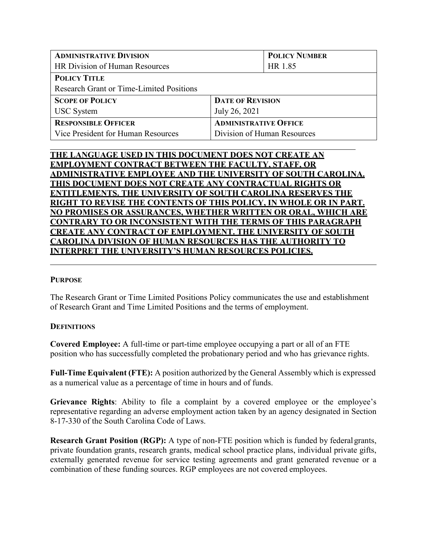| <b>ADMINISTRATIVE DIVISION</b>                  |                              | <b>POLICY NUMBER</b>        |
|-------------------------------------------------|------------------------------|-----------------------------|
| HR Division of Human Resources                  |                              | HR 1.85                     |
| <b>POLICY TITLE</b>                             |                              |                             |
| <b>Research Grant or Time-Limited Positions</b> |                              |                             |
| <b>SCOPE OF POLICY</b>                          | <b>DATE OF REVISION</b>      |                             |
| <b>USC</b> System                               | July 26, 2021                |                             |
| <b>RESPONSIBLE OFFICER</b>                      | <b>ADMINISTRATIVE OFFICE</b> |                             |
| Vice President for Human Resources              |                              | Division of Human Resources |

# **THE LANGUAGE USED IN THIS DOCUMENT DOES NOT CREATE AN EMPLOYMENT CONTRACT BETWEEN THE FACULTY, STAFF, OR ADMINISTRATIVE EMPLOYEE AND THE UNIVERSITY OF SOUTH CAROLINA. THIS DOCUMENT DOES NOT CREATE ANY CONTRACTUAL RIGHTS OR ENTITLEMENTS. THE UNIVERSITY OF SOUTH CAROLINA RESERVES THE RIGHT TO REVISE THE CONTENTS OF THIS POLICY, IN WHOLE OR IN PART. NO PROMISES OR ASSURANCES, WHETHER WRITTEN OR ORAL, WHICH ARE CONTRARY TO OR INCONSISTENT WITH THE TERMS OF THIS PARAGRAPH CREATE ANY CONTRACT OF EMPLOYMENT. THE UNIVERSITY OF SOUTH CAROLINA DIVISION OF HUMAN RESOURCES HAS THE AUTHORITY TO INTERPRET THE UNIVERSITY'S HUMAN RESOURCES POLICIES.**

### **PURPOSE**

The Research Grant or Time Limited Positions Policy communicates the use and establishment of Research Grant and Time Limited Positions and the terms of employment.

### **DEFINITIONS**

**Covered Employee:** A full-time or part-time employee occupying a part or all of an FTE position who has successfully completed the probationary period and who has grievance rights.

**Full-Time Equivalent (FTE):** A position authorized by the General Assembly which is expressed as a numerical value as a percentage of time in hours and of funds.

Grievance Rights: Ability to file a complaint by a covered employee or the employee's representative regarding an adverse employment action taken by an agency designated in Section 8-17-330 of the South Carolina Code of Laws.

**Research Grant Position (RGP):** A type of non-FTE position which is funded by federalgrants, private foundation grants, research grants, medical school practice plans, individual private gifts, externally generated revenue for service testing agreements and grant generated revenue or a combination of these funding sources. RGP employees are not covered employees.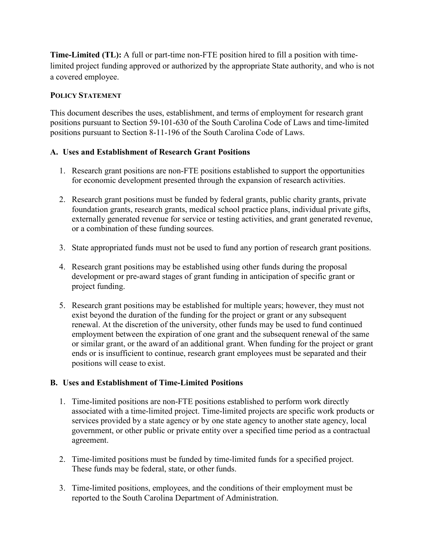**Time-Limited (TL):** A full or part-time non-FTE position hired to fill a position with timelimited project funding approved or authorized by the appropriate State authority, and who is not a covered employee.

## **POLICY STATEMENT**

This document describes the uses, establishment, and terms of employment for research grant positions pursuant to Section 59-101-630 of the South Carolina Code of Laws and time-limited positions pursuant to Section 8-11-196 of the South Carolina Code of Laws.

# **A. Uses and Establishment of Research Grant Positions**

- 1. Research grant positions are non-FTE positions established to support the opportunities for economic development presented through the expansion of research activities.
- 2. Research grant positions must be funded by federal grants, public charity grants, private foundation grants, research grants, medical school practice plans, individual private gifts, externally generated revenue for service or testing activities, and grant generated revenue, or a combination of these funding sources.
- 3. State appropriated funds must not be used to fund any portion of research grant positions.
- 4. Research grant positions may be established using other funds during the proposal development or pre-award stages of grant funding in anticipation of specific grant or project funding.
- 5. Research grant positions may be established for multiple years; however, they must not exist beyond the duration of the funding for the project or grant or any subsequent renewal. At the discretion of the university, other funds may be used to fund continued employment between the expiration of one grant and the subsequent renewal of the same or similar grant, or the award of an additional grant. When funding for the project or grant ends or is insufficient to continue, research grant employees must be separated and their positions will cease to exist.

# **B. Uses and Establishment of Time-Limited Positions**

- 1. Time-limited positions are non-FTE positions established to perform work directly associated with a time-limited project. Time-limited projects are specific work products or services provided by a state agency or by one state agency to another state agency, local government, or other public or private entity over a specified time period as a contractual agreement.
- 2. Time-limited positions must be funded by time-limited funds for a specified project. These funds may be federal, state, or other funds.
- 3. Time-limited positions, employees, and the conditions of their employment must be reported to the South Carolina Department of Administration.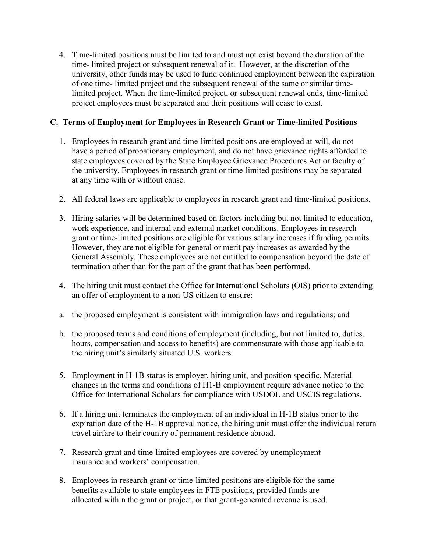4. Time-limited positions must be limited to and must not exist beyond the duration of the time- limited project or subsequent renewal of it. However, at the discretion of the university, other funds may be used to fund continued employment between the expiration of one time- limited project and the subsequent renewal of the same or similar timelimited project. When the time-limited project, or subsequent renewal ends, time-limited project employees must be separated and their positions will cease to exist.

# **C. Terms of Employment for Employees in Research Grant or Time-limited Positions**

- 1. Employees in research grant and time-limited positions are employed at-will, do not have a period of probationary employment, and do not have grievance rights afforded to state employees covered by the State Employee Grievance Procedures Act or faculty of the university. Employees in research grant or time-limited positions may be separated at any time with or without cause.
- 2. All federal laws are applicable to employees in research grant and time-limited positions.
- 3. Hiring salaries will be determined based on factors including but not limited to education, work experience, and internal and external market conditions. Employees in research grant or time-limited positions are eligible for various salary increases if funding permits. However, they are not eligible for general or merit pay increases as awarded by the General Assembly. These employees are not entitled to compensation beyond the date of termination other than for the part of the grant that has been performed.
- 4. The hiring unit must contact the Office for International Scholars (OIS) prior to extending an offer of employment to a non-US citizen to ensure:
- a. the proposed employment is consistent with immigration laws and regulations; and
- b. the proposed terms and conditions of employment (including, but not limited to, duties, hours, compensation and access to benefits) are commensurate with those applicable to the hiring unit's similarly situated U.S. workers.
- 5. Employment in H-1B status is employer, hiring unit, and position specific. Material changes in the terms and conditions of H1-B employment require advance notice to the Office for International Scholars for compliance with USDOL and USCIS regulations.
- 6. If a hiring unit terminates the employment of an individual in H-1B status prior to the expiration date of the H-1B approval notice, the hiring unit must offer the individual return travel airfare to their country of permanent residence abroad.
- 7. Research grant and time-limited employees are covered by unemployment insurance and workers' compensation.
- 8. Employees in research grant or time-limited positions are eligible for the same benefits available to state employees in FTE positions, provided funds are allocated within the grant or project, or that grant-generated revenue is used.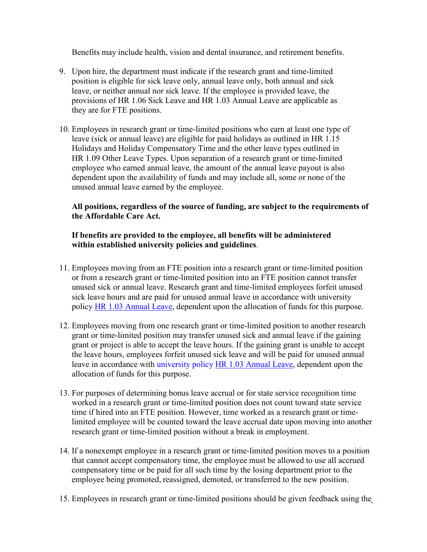Benefits may include health, vision and dental insurance, and retirement benefits.

- 9. Upon hire, the department must indicate if the research grant and time-limited position is eligible for sick leave only, annual leave only, both annual and sick leave, or neither annual nor sick leave. If the employee is provided leave, the provisions of HR 1.06 Sick Leave and HR 1.03 Annual Leave are applicable as they are for FTE positions.
- 10. Employees in research grant or time-limited positions who earn at least one type of leave (sick or annual leave) are eligible for paid holidays as outlined in HR 1.15 Holidays and Holiday Compensatory Time and the other leave types outlined in HR 1.09 Other Leave Types. Upon separation of a research grant or time-limited employee who earned annual leave, the amount of the annual leave payout is also dependent upon the availability of funds and may include all, some or none of the unused annual leave earned by the employee.

# **All positions, regardless of the source of funding, are subject to the requirements of the Affordable Care Act.**

# **If benefits are provided to the employee, all benefits will be administered within established university policies and guidelines**.

- 11. Employees moving from an FTE position into a research grant or time-limited position or from a research grant or time-limited position into an FTE position cannot transfer unused sick or annual leave. Research grant and time-limited employees forfeit unused sick leave hours and are paid for unused annual leave in accordance with university policy [HR 1.03](http://www.sc.edu/policies/ppm/hr103.pdf) [Annual Leave,](http://www.sc.edu/policies/ppm/hr103.pdf) dependent upon the allocation of funds for this purpose.
- 12. Employees moving from one research grant or time-limited position to another research grant or time-limited position may transfer unused sick and annual leave if the gaining grant or project is able to accept the leave hours. If the gaining grant is unable to accept the leave hours, employees forfeit unused sick leave and will be paid for unused annual leave in accordance with university policy [HR 1.03 Annual Leave,](http://www.sc.edu/policies/ppm/hr103.pdf) dependent upon the allocation of funds for this purpose.
- 13. For purposes of determining bonus leave accrual or for state service recognition time worked in a research grant or time-limited position does not count toward state service time if hired into an FTE position. However, time worked as a research grant or timelimited employee will be counted toward the leave accrual date upon moving into another research grant or time-limited position without a break in employment.
- 14. If a nonexempt employee in a research grant or time-limited position moves to a position that cannot accept compensatory time, the employee must be allowed to use all accrued compensatory time or be paid for all such time by the losing department prior to the employee being promoted, reassigned, demoted, or transferred to the new position.
- 15. Employees in research grant or time-limited positions should be given feedback using th[e](https://www.sc.edu/about/offices_and_divisions/human_resources/docs/assessment_non_covered_employees.pdf)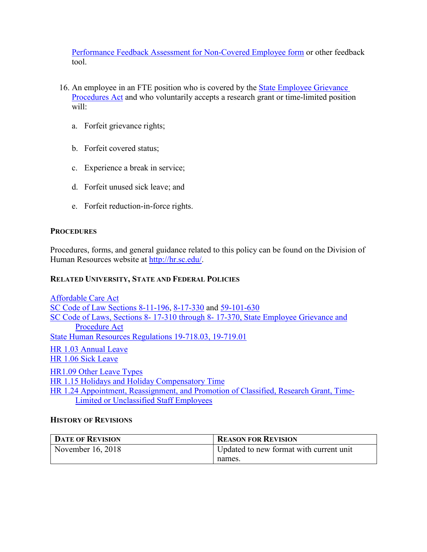[Performance Feedback Assessment for Non-Covered Employee form](https://www.sc.edu/about/offices_and_divisions/human_resources/docs/assessment_non_covered_employees.pdf) or other feedback tool.

- 16. An employee in an FTE position who is covered by the **[State Employee Grievance](https://www.scstatehouse.gov/code/t08c017.php)** [Procedures Act](https://www.scstatehouse.gov/code/t08c017.php) and who voluntarily accepts a research grant or time-limited position will:
	- a. Forfeit grievance rights;
	- b. Forfeit covered status;
	- c. Experience a break in service;
	- d. Forfeit unused sick leave; and
	- e. Forfeit reduction-in-force rights.

## **PROCEDURES**

Procedures, forms, and general guidance related to this policy can be found on the Division of Human Resources website at [http://hr.sc.edu/.](http://hr.sc.edu/)

# **RELATED UNIVERSITY, STATE AND FEDERAL POLICIES**

[Affordable Care Act](https://www.gpo.gov/fdsys/pkg/PLAW-111publ148/pdf/PLAW-111publ148.pdf) [SC Code of Law Sections 8-11-196,](https://www.scstatehouse.gov/code/t08c011.php) [8-17-330](https://www.scstatehouse.gov/code/t08c017.php) and [59-101-630](https://www.scstatehouse.gov/code/t59c101.php) SC Code of Laws, Sections 8-17-310 through 8-[17-370, State Employee Grievance and](https://www.scstatehouse.gov/code/t08c017.php) [Procedure Act](https://www.scstatehouse.gov/code/t08c017.php) [State Human Resources Regulations 19-718.03, 19-719.01](https://admin.sc.gov/files/2016%20HR%20Regulations-Combined%20Website%20Version.pdf) [HR 1.03 Annual Leave](http://www.sc.edu/policies/ppm/hr103.pdf) [HR 1.06 Sick Leave](http://www.sc.edu/policies/ppm/hr106.pdf) [HR1.09 Other Leave Types](http://www.sc.edu/policies/ppm/hr109.pdf) [HR 1.15 Holidays and Holiday Compensatory Time](http://www.sc.edu/policies/ppm/hr115.pdf) [HR 1.24 Appointment, Reassignment, and Promotion of Classified, Research Grant, Time-](http://www.sc.edu/policies/ppm/hr124.pdf)[Limited or Unclassified Staff Employees](http://www.sc.edu/policies/ppm/hr124.pdf)

### **HISTORY OF REVISIONS**

| <b>DATE OF REVISION</b> | <b>REASON FOR REVISION</b>              |
|-------------------------|-----------------------------------------|
| November 16, 2018       | Updated to new format with current unit |
|                         | names.                                  |